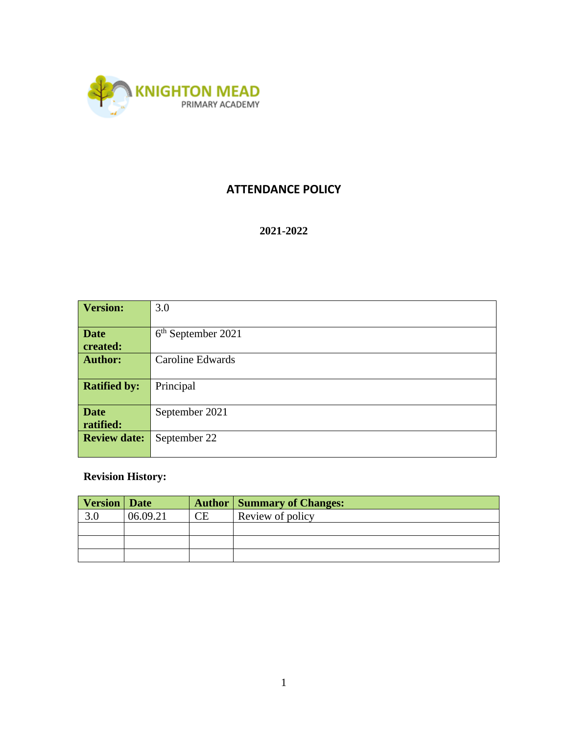

## **ATTENDANCE POLICY**

#### **2021-2022**

| <b>Version:</b>                  | 3.0                  |  |  |  |
|----------------------------------|----------------------|--|--|--|
|                                  |                      |  |  |  |
| <b>Date</b>                      | $6th$ September 2021 |  |  |  |
| created:                         |                      |  |  |  |
| <b>Author:</b>                   | Caroline Edwards     |  |  |  |
|                                  |                      |  |  |  |
| <b>Ratified by:</b><br>Principal |                      |  |  |  |
|                                  |                      |  |  |  |
| <b>Date</b>                      | September 2021       |  |  |  |
| ratified:                        |                      |  |  |  |
| <b>Review date:</b>              | September 22         |  |  |  |
|                                  |                      |  |  |  |

# **Revision History:**

| <b>Version</b> Date |          |           | <b>Author   Summary of Changes:</b> |
|---------------------|----------|-----------|-------------------------------------|
| 3.0                 | 06.09.21 | <b>CE</b> | Review of policy                    |
|                     |          |           |                                     |
|                     |          |           |                                     |
|                     |          |           |                                     |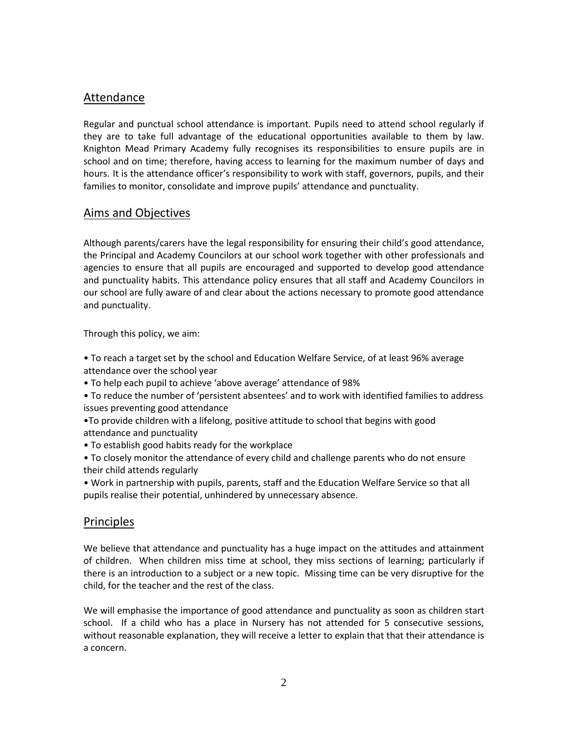#### Attendance

Regular and punctual school attendance is important. Pupils need to attend school regularly if they are to take full advantage of the educational opportunities available to them by law. Knighton Mead Primary Academy fully recognises its responsibilities to ensure pupils are in school and on time; therefore, having access to learning for the maximum number of days and hours. It is the attendance officer's responsibility to work with staff, governors, pupils, and their families to monitor, consolidate and improve pupils' attendance and punctuality.

## Aims and Objectives

Although parents/carers have the legal responsibility for ensuring their child's good attendance, the Principal and Academy Councilors at our school work together with other professionals and agencies to ensure that all pupils are encouraged and supported to develop good attendance and punctuality habits. This attendance policy ensures that all staff and Academy Councilors in our school are fully aware of and clear about the actions necessary to promote good attendance and punctuality.

Through this policy, we aim:

- To reach a target set by the school and Education Welfare Service, of at least 96% average attendance over the school year
- To help each pupil to achieve 'above average' attendance of 98%
- To reduce the number of 'persistent absentees' and to work with identified families to address issues preventing good attendance
- •To provide children with a lifelong, positive attitude to school that begins with good attendance and punctuality
- To establish good habits ready for the workplace
- To closely monitor the attendance of every child and challenge parents who do not ensure their child attends regularly
- Work in partnership with pupils, parents, staff and the Education Welfare Service so that all pupils realise their potential, unhindered by unnecessary absence.

#### Principles

We believe that attendance and punctuality has a huge impact on the attitudes and attainment of children. When children miss time at school, they miss sections of learning; particularly if there is an introduction to a subject or a new topic. Missing time can be very disruptive for the child, for the teacher and the rest of the class.

We will emphasise the importance of good attendance and punctuality as soon as children start school. If a child who has a place in Nursery has not attended for 5 consecutive sessions, without reasonable explanation, they will receive a letter to explain that that their attendance is a concern.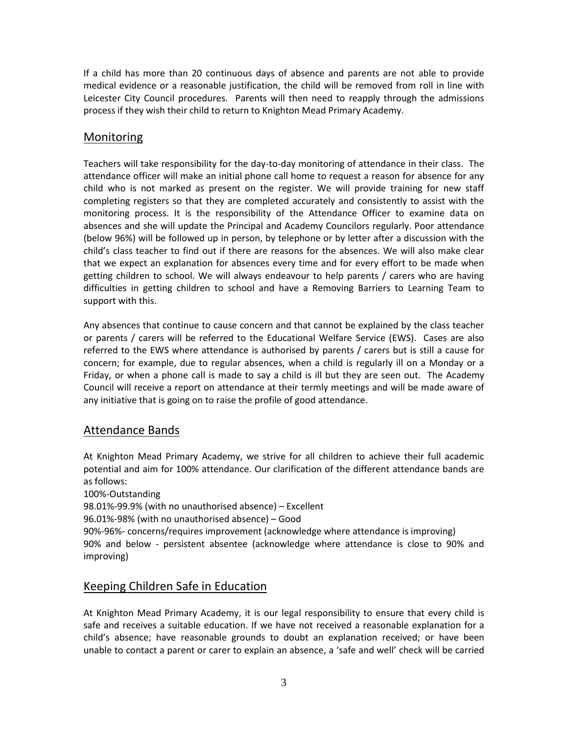If a child has more than 20 continuous days of absence and parents are not able to provide medical evidence or a reasonable justification, the child will be removed from roll in line with Leicester City Council procedures. Parents will then need to reapply through the admissions process if they wish their child to return to Knighton Mead Primary Academy.

## Monitoring

Teachers will take responsibility for the day-to-day monitoring of attendance in their class. The attendance officer will make an initial phone call home to request a reason for absence for any child who is not marked as present on the register. We will provide training for new staff completing registers so that they are completed accurately and consistently to assist with the monitoring process. It is the responsibility of the Attendance Officer to examine data on absences and she will update the Principal and Academy Councilors regularly. Poor attendance (below 96%) will be followed up in person, by telephone or by letter after a discussion with the child's class teacher to find out if there are reasons for the absences. We will also make clear that we expect an explanation for absences every time and for every effort to be made when getting children to school. We will always endeavour to help parents / carers who are having difficulties in getting children to school and have a Removing Barriers to Learning Team to support with this.

Any absences that continue to cause concern and that cannot be explained by the class teacher or parents / carers will be referred to the Educational Welfare Service (EWS). Cases are also referred to the EWS where attendance is authorised by parents / carers but is still a cause for concern; for example, due to regular absences, when a child is regularly ill on a Monday or a Friday, or when a phone call is made to say a child is ill but they are seen out. The Academy Council will receive a report on attendance at their termly meetings and will be made aware of any initiative that is going on to raise the profile of good attendance.

## Attendance Bands

At Knighton Mead Primary Academy, we strive for all children to achieve their full academic potential and aim for 100% attendance. Our clarification of the different attendance bands are as follows:

100%-Outstanding

98.01%-99.9% (with no unauthorised absence) – Excellent

96.01%-98% (with no unauthorised absence) – Good

90%-96%- concerns/requires improvement (acknowledge where attendance is improving) 90% and below - persistent absentee (acknowledge where attendance is close to 90% and improving)

#### Keeping Children Safe in Education

At Knighton Mead Primary Academy, it is our legal responsibility to ensure that every child is safe and receives a suitable education. If we have not received a reasonable explanation for a child's absence; have reasonable grounds to doubt an explanation received; or have been unable to contact a parent or carer to explain an absence, a 'safe and well' check will be carried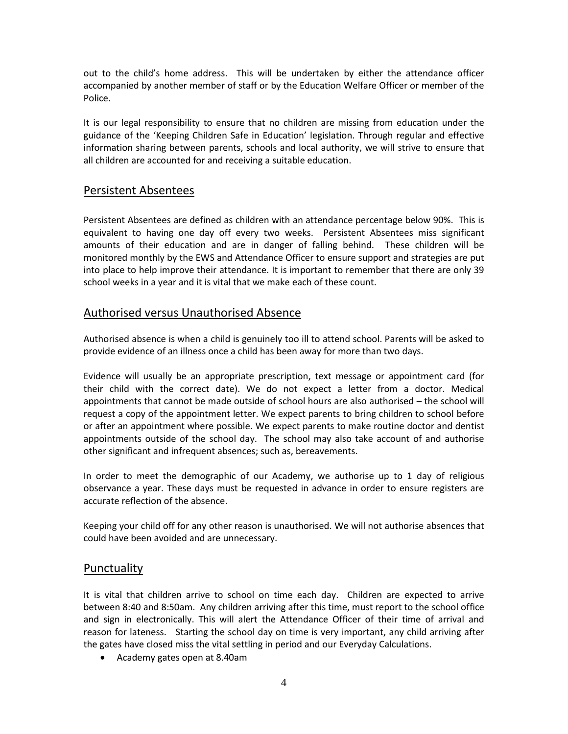out to the child's home address. This will be undertaken by either the attendance officer accompanied by another member of staff or by the Education Welfare Officer or member of the Police.

It is our legal responsibility to ensure that no children are missing from education under the guidance of the 'Keeping Children Safe in Education' legislation. Through regular and effective information sharing between parents, schools and local authority, we will strive to ensure that all children are accounted for and receiving a suitable education.

#### Persistent Absentees

Persistent Absentees are defined as children with an attendance percentage below 90%. This is equivalent to having one day off every two weeks. Persistent Absentees miss significant amounts of their education and are in danger of falling behind. These children will be monitored monthly by the EWS and Attendance Officer to ensure support and strategies are put into place to help improve their attendance. It is important to remember that there are only 39 school weeks in a year and it is vital that we make each of these count.

#### Authorised versus Unauthorised Absence

Authorised absence is when a child is genuinely too ill to attend school. Parents will be asked to provide evidence of an illness once a child has been away for more than two days.

Evidence will usually be an appropriate prescription, text message or appointment card (for their child with the correct date). We do not expect a letter from a doctor. Medical appointments that cannot be made outside of school hours are also authorised – the school will request a copy of the appointment letter. We expect parents to bring children to school before or after an appointment where possible. We expect parents to make routine doctor and dentist appointments outside of the school day. The school may also take account of and authorise other significant and infrequent absences; such as, bereavements.

In order to meet the demographic of our Academy, we authorise up to 1 day of religious observance a year. These days must be requested in advance in order to ensure registers are accurate reflection of the absence.

Keeping your child off for any other reason is unauthorised. We will not authorise absences that could have been avoided and are unnecessary.

## Punctuality

It is vital that children arrive to school on time each day. Children are expected to arrive between 8:40 and 8:50am. Any children arriving after this time, must report to the school office and sign in electronically. This will alert the Attendance Officer of their time of arrival and reason for lateness. Starting the school day on time is very important, any child arriving after the gates have closed miss the vital settling in period and our Everyday Calculations.

• Academy gates open at 8.40am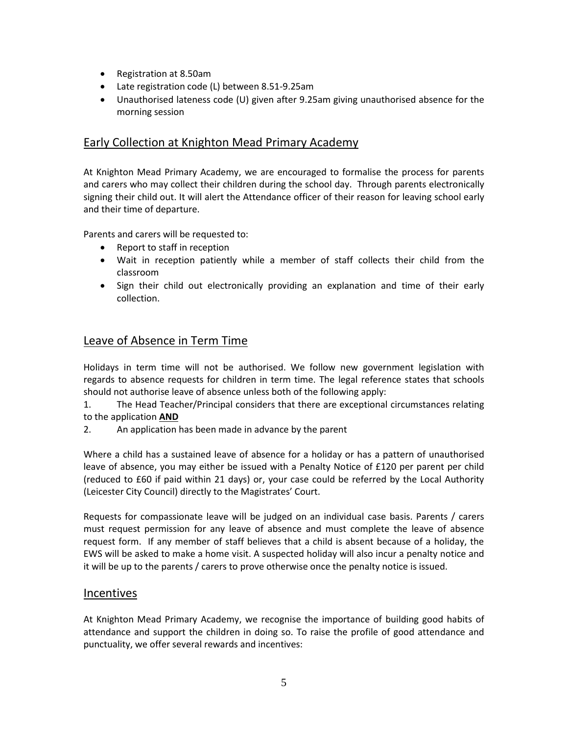- Registration at 8.50am
- Late registration code (L) between 8.51-9.25am
- Unauthorised lateness code (U) given after 9.25am giving unauthorised absence for the morning session

#### Early Collection at Knighton Mead Primary Academy

At Knighton Mead Primary Academy, we are encouraged to formalise the process for parents and carers who may collect their children during the school day. Through parents electronically signing their child out. It will alert the Attendance officer of their reason for leaving school early and their time of departure.

Parents and carers will be requested to:

- Report to staff in reception
- Wait in reception patiently while a member of staff collects their child from the classroom
- Sign their child out electronically providing an explanation and time of their early collection.

#### Leave of Absence in Term Time

Holidays in term time will not be authorised. We follow new government legislation with regards to absence requests for children in term time. The legal reference states that schools should not authorise leave of absence unless both of the following apply:

1. The Head Teacher/Principal considers that there are exceptional circumstances relating to the application **AND**

2. An application has been made in advance by the parent

Where a child has a sustained leave of absence for a holiday or has a pattern of unauthorised leave of absence, you may either be issued with a Penalty Notice of £120 per parent per child (reduced to £60 if paid within 21 days) or, your case could be referred by the Local Authority (Leicester City Council) directly to the Magistrates' Court.

Requests for compassionate leave will be judged on an individual case basis. Parents / carers must request permission for any leave of absence and must complete the leave of absence request form. If any member of staff believes that a child is absent because of a holiday, the EWS will be asked to make a home visit. A suspected holiday will also incur a penalty notice and it will be up to the parents / carers to prove otherwise once the penalty notice is issued.

#### Incentives

At Knighton Mead Primary Academy, we recognise the importance of building good habits of attendance and support the children in doing so. To raise the profile of good attendance and punctuality, we offer several rewards and incentives: